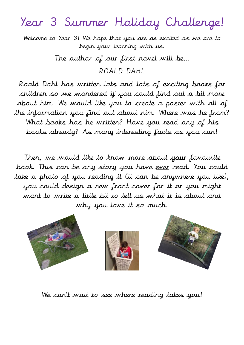## Year 3 Summer Holiday Challenge!

Welcome to Year 3! We hope that you are as excited as we are to begin your learning with us.

The author of our first novel will be…

ROALD DAHL

Roald Dahl has written lots and lots of exciting books for children so we wondered if you could find out a bit more about him. We would like you to create a poster with all of the information you find out about him. Where was he from? What books has he written? Have you read any of his books already? As many interesting facts as you can!

Then, we would like to know more about your favourite book. This can be any story you have ever read. You could take a photo of you reading it (it can be anywhere you like), you could design a new front cover for it or you might want to write a little bit to tell us what it is about and why you love it so much.



We can't wait to see where reading takes you!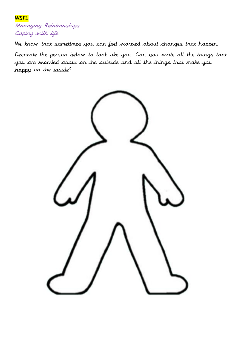## **WSFL**

Managing Relationships Coping with life

We know that sometimes you can feel worried about changes that happen.

Decorate the person below to look like you. Can you write all the things that you are worried about on the outside and all the things that make you happy on the inside?